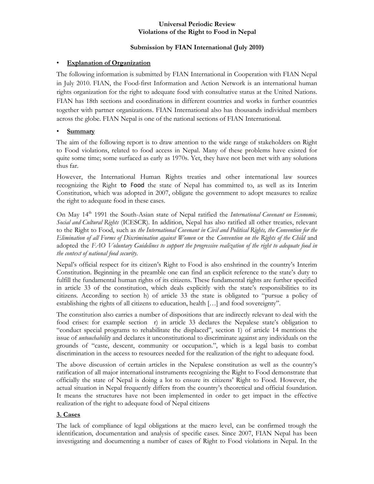#### **Universal Periodic Review Violations of the Right to Food in Nepal**

## **Submission by FIAN International (July 2010)**

## • **Explanation of Organization**

The following information is submitted by FIAN International in Cooperation with FIAN Nepal in July 2010. FIAN, the Food-first Information and Action Network is an international human rights organization for the right to adequate food with consultative status at the United Nations. FIAN has 18th sections and coordinations in different countries and works in further countries together with partner organizations. FIAN International also has thousands individual members across the globe. FIAN Nepal is one of the national sections of FIAN International.

# • **Summary**

The aim of the following report is to draw attention to the wide range of stakeholders on Right to Food violations, related to food access in Nepal. Many of these problems have existed for quite some time; some surfaced as early as 1970s. Yet, they have not been met with any solutions thus far.

However, the International Human Rights treaties and other international law sources recognizing the Right to Food the state of Nepal has committed to, as well as its Interim Constitution, which was adopted in 2007, obligate the government to adopt measures to realize the right to adequate food in these cases.

On May 14<sup>th</sup> 1991 the South-Asian state of Nepal ratified the *International Covenant on Economic*, *Social and Cultural Rights* (ICESCR). In addition, Nepal has also ratified all other treaties, relevant to the Right to Food, such as *the International Covenant in Civil and Political Rights, the Convention for the Elimination of all Forms of Discrimination against Women* or the *Convention on the Rights of the Child* and adopted the *FAO Voluntary Guidelines to support the progressive realization of the right to adequate food in the context of national food security.* 

Nepal's official respect for its citizen's Right to Food is also enshrined in the country's Interim Constitution. Beginning in the preamble one can find an explicit reference to the state's duty to fulfill the fundamental human rights of its citizens. These fundamental rights are further specified in article 33 of the constitution, which deals explicitly with the state's responsibilities to its citizens. According to section h) of article 33 the state is obligated to "pursue a policy of establishing the rights of all citizens to education, health […] and food sovereignty".

The constitution also carries a number of dispositions that are indirectly relevant to deal with the food crises: for example section r) in article 33 declares the Nepalese state's obligation to "conduct special programs to rehabilitate the displaced", section 1) of article 14 mentions the issue of *untouchability* and declares it unconstitutional to discriminate against any individuals on the grounds of "caste, descent, community or occupation.", which is a legal basis to combat discrimination in the access to resources needed for the realization of the right to adequate food.

The above discussion of certain articles in the Nepalese constitution as well as the country's ratification of all major international instruments recognizing the Right to Food demonstrate that officially the state of Nepal is doing a lot to ensure its citizens' Right to Food. However, the actual situation in Nepal frequently differs from the country's theoretical and official foundation. It means the structures have not been implemented in order to get impact in the effective realization of the right to adequate food of Nepal citizens

# **3. Cases**

The lack of compliance of legal obligations at the macro level, can be confirmed trough the identification, documentation and analysis of specific cases. Since 2007, FIAN Nepal has been investigating and documenting a number of cases of Right to Food violations in Nepal. In the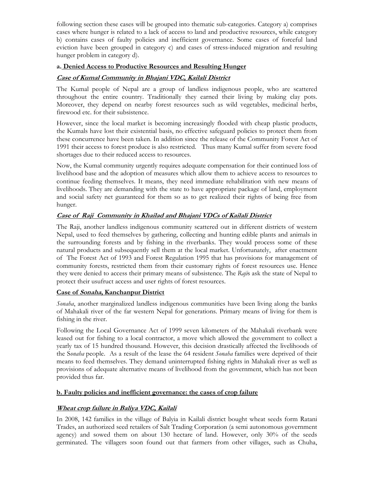following section these cases will be grouped into thematic sub-categories. Category a) comprises cases where hunger is related to a lack of access to land and productive resources, while category b) contains cases of faulty policies and inefficient governance. Some cases of forceful land eviction have been grouped in category c) and cases of stress-induced migration and resulting hunger problem in category d).

## **a. Denied Access to Productive Resources and Resulting Hunger**

# **Case of Kumal Community in Bhajani VDC, Kailali District**

The Kumal people of Nepal are a group of landless indigenous people, who are scattered throughout the entire country. Traditionally they earned their living by making clay pots. Moreover, they depend on nearby forest resources such as wild vegetables, medicinal herbs, firewood etc. for their subsistence.

However, since the local market is becoming increasingly flooded with cheap plastic products, the Kumals have lost their existential basis, no effective safeguard policies to protect them from these concurrence have been taken. In addition since the release of the Community Forest Act of 1991 their access to forest produce is also restricted. Thus many Kumal suffer from severe food shortages due to their reduced access to resources.

Now, the Kumal community urgently requires adequate compensation for their continued loss of livelihood base and the adoption of measures which allow them to achieve access to resources to continue feeding themselves. It means, they need immediate rehabilitation with new means of livelihoods. They are demanding with the state to have appropriate package of land, employment and social safety net guaranteed for them so as to get realized their rights of being free from hunger.

## **Case of Raji Community in Khailad and Bhajani VDCs of Kailali District**

The Raji, another landless indigenous community scattered out in different districts of western Nepal, used to feed themselves by gathering, collecting and hunting edible plants and animals in the surrounding forests and by fishing in the riverbanks. They would process some of these natural products and subsequently sell them at the local market. Unfortunately, after enactment of The Forest Act of 1993 and Forest Regulation 1995 that has provisions for management of community forests, restricted them from their customary rights of forest resources use. Hence they were denied to access their primary means of subsistence. The *Raji*s ask the state of Nepal to protect their usufruct access and user rights of forest resources.

## **Case of Sonaha, Kanchanpur District**

*Sonaha*, another marginalized landless indigenous communities have been living along the banks of Mahakali river of the far western Nepal for generations. Primary means of living for them is fishing in the river.

Following the Local Governance Act of 1999 seven kilometers of the Mahakali riverbank were leased out for fishing to a local contractor, a move which allowed the government to collect a yearly tax of 15 hundred thousand. However, this decision drastically affected the livelihoods of the S*onaha* people. As a result of the lease the 64 resident *Sonaha* families were deprived of their means to feed themselves. They demand uninterrupted fishing rights in Mahakali river as well as provisions of adequate alternative means of livelihood from the government, which has not been provided thus far.

## **b. Faulty policies and inefficient governance: the cases of crop failure**

## **Wheat crop failure in Baliya VDC, Kailali**

In 2008, 142 families in the village of Balyia in Kailali district bought wheat seeds form Ratani Trades, an authorized seed retailers of Salt Trading Corporation (a semi autonomous government agency) and sowed them on about 130 hectare of land. However, only 30% of the seeds germinated. The villagers soon found out that farmers from other villages, such as Chuha,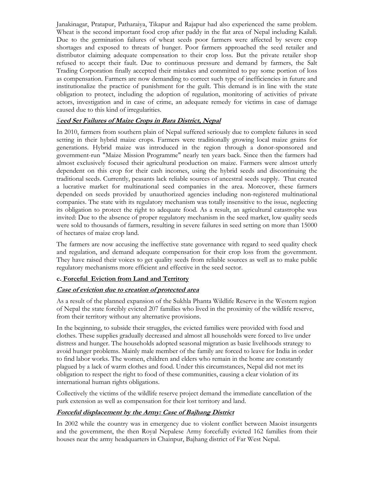Janakinagar, Pratapur, Patharaiya, Tikapur and Rajapur had also experienced the same problem. Wheat is the second important food crop after paddy in the flat area of Nepal including Kailali. Due to the germination failures of wheat seeds poor farmers were affected by severe crop shortages and exposed to threats of hunger. Poor farmers approached the seed retailer and distributor claiming adequate compensation to their crop loss. But the private retailer shop refused to accept their fault. Due to continuous pressure and demand by farmers, the Salt Trading Corporation finally accepted their mistakes and committed to pay some portion of loss as compensation. Farmers are now demanding to correct such type of inefficiencies in future and institutionalize the practice of punishment for the guilt. This demand is in line with the state obligation to protect, including the adoption of regulation, monitoring of activities of private actors, investigation and in case of crime, an adequate remedy for victims in case of damage caused due to this kind of irregularities.

## *S***eed Set Failures of Maize Crops in Bara District, Nepal**

In 2010, farmers from southern plain of Nepal suffered seriously due to complete failures in seed setting in their hybrid maize crops. Farmers were traditionally growing local maize grains for generations. Hybrid maize was introduced in the region through a donor-sponsored and government-run "Maize Mission Programme" nearly ten years back. Since then the farmers had almost exclusively focused their agricultural production on maize. Farmers were almost utterly dependent on this crop for their cash incomes, using the hybrid seeds and discontinuing the traditional seeds. Currently, peasants lack reliable sources of ancestral seeds supply. That created a lucrative market for multinational seed companies in the area. Moreover, these farmers depended on seeds provided by unauthorized agencies including non-registered multinational companies. The state with its regulatory mechanism was totally insensitive to the issue, neglecting its obligation to protect the right to adequate food. As a result, an agricultural catastrophe was invited: Due to the absence of proper regulatory mechanism in the seed market, low quality seeds were sold to thousands of farmers, resulting in severe failures in seed setting on more than 15000 of hectares of maize crop land.

The farmers are now accusing the ineffective state governance with regard to seed quality check and regulation, and demand adequate compensation for their crop loss from the government. They have raised their voices to get quality seeds from reliable sources as well as to make public regulatory mechanisms more efficient and effective in the seed sector.

## **c. Forceful Eviction from Land and Territory**

#### **Case of eviction due to creation of protected area**

As a result of the planned expansion of the Sukhla Phanta Wildlife Reserve in the Western region of Nepal the state forcibly evicted 207 families who lived in the proximity of the wildlife reserve, from their territory without any alternative provisions.

In the beginning, to subside their struggles, the evicted families were provided with food and clothes. These supplies gradually decreased and almost all households were forced to live under distress and hunger. The households adopted seasonal migration as basic livelihoods strategy to avoid hunger problems. Mainly male member of the family are forced to leave for India in order to find labor works. The women, children and elders who remain in the home are constantly plagued by a lack of warm clothes and food. Under this circumstances, Nepal did not met its obligation to respect the right to food of these communities, causing a clear violation of its international human rights obligations.

Collectively the victims of the wildlife reserve project demand the immediate cancellation of the park extension as well as compensation for their lost territory and land.

#### **Forceful displacement by the Army: Case of Bajhang District**

In 2002 while the country was in emergency due to violent conflict between Maoist insurgents and the government, the then Royal Nepalese Army forcefully evicted 162 families from their houses near the army headquarters in Chainpur, Bajhang district of Far West Nepal.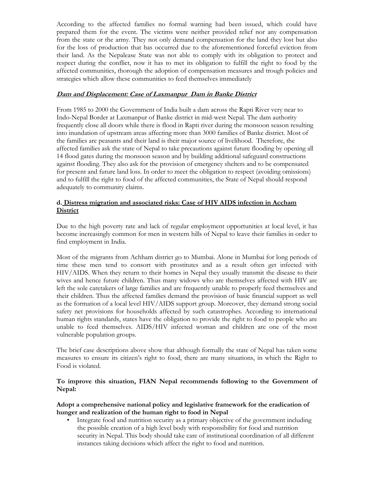According to the affected families no formal warning had been issued, which could have prepared them for the event. The victims were neither provided relief nor any compensation from the state or the army. They not only demand compensation for the land they lost but also for the loss of production that has occurred due to the aforementioned forceful eviction from their land. As the Nepalease State was not able to comply with its obligation to protect and respect during the conflict, now it has to met its obligation to fulfill the right to food by the affected communities, thorough the adoption of compensation measures and trough policies and strategies which allow these communities to feed themselves immediately

#### **Dam and Displacement: Case of Laxmanpur Dam in Banke District**

From 1985 to 2000 the Government of India built a dam across the Rapti River very near to Indo-Nepal Border at Laxmanpur of Banke district in mid-west Nepal. The dam authority frequently close all doors while there is flood in Rapti river during the monsoon season resulting into inundation of upstream areas affecting more than 3000 families of Banke district. Most of the families are peasants and their land is their major source of livelihood. Therefore, the affected families ask the state of Nepal to take precautions against future flooding by opening all 14 flood gates during the monsoon season and by building additional safeguard constructions against flooding. They also ask for the provision of emergency shelters and to be compensated for present and future land loss. In order to meet the obligation to respect (avoiding omissions) and to fulfill the right to food of the affected communities, the State of Nepal should respond adequately to community claims.

#### **d. Distress migration and associated risks: Case of HIV AIDS infection in Accham District**

Due to the high poverty rate and lack of regular employment opportunities at local level, it has become increasingly common for men in western hills of Nepal to leave their families in order to find employment in India.

Most of the migrants from Achham district go to Mumbai. Alone in Mumbai for long periods of time these men tend to consort with prostitutes and as a result often get infected with HIV/AIDS. When they return to their homes in Nepal they usually transmit the disease to their wives and hence future children. Thus many widows who are themselves affected with HIV are left the sole caretakers of large families and are frequently unable to properly feed themselves and their children. Thus the affected families demand the provision of basic financial support as well as the formation of a local level HIV/AIDS support group. Moreover, they demand strong social safety net provisions for households affected by such catastrophes. According to international human rights standards, states have the obligation to provide the right to food to people who are unable to feed themselves. AIDS/HIV infected woman and children are one of the most vulnerable population groups.

The brief case descriptions above show that although formally the state of Nepal has taken some measures to ensure its citizen's right to food, there are many situations, in which the Right to Food is violated.

#### **To improve this situation, FIAN Nepal recommends following to the Government of Nepal:**

#### **Adopt a comprehensive national policy and legislative framework for the eradication of hunger and realization of the human right to food in Nepal**

• Integrate food and nutrition security as a primary objective of the government including the possible creation of a high level body with responsibility for food and nutrition security in Nepal. This body should take care of institutional coordination of all different instances taking decisions which affect the right to food and nutrition.